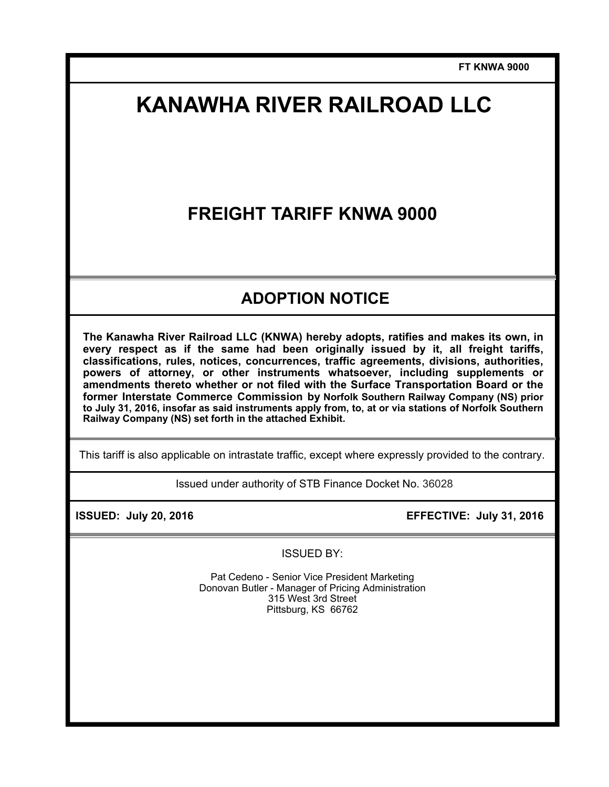**FT KNWA 9000** 

# **KANAWHA RIVER RAILROAD LLC**

## **FREIGHT TARIFF KNWA 9000**

## **ADOPTION NOTICE**

**The Kanawha River Railroad LLC (KNWA) hereby adopts, ratifies and makes its own, in every respect as if the same had been originally issued by it, all freight tariffs, classifications, rules, notices, concurrences, traffic agreements, divisions, authorities, powers of attorney, or other instruments whatsoever, including supplements or amendments thereto whether or not filed with the Surface Transportation Board or the former Interstate Commerce Commission by Norfolk Southern Railway Company (NS) prior to July 31, 2016, insofar as said instruments apply from, to, at or via stations of Norfolk Southern Railway Company (NS) set forth in the attached Exhibit.** 

This tariff is also applicable on intrastate traffic, except where expressly provided to the contrary.

Issued under authority of STB Finance Docket No. 36028

**ISSUED: July 20, 2016 EFFECTIVE: July 31, 2016** 

ISSUED BY:

Pat Cedeno - Senior Vice President Marketing Donovan Butler - Manager of Pricing Administration 315 West 3rd Street Pittsburg, KS 66762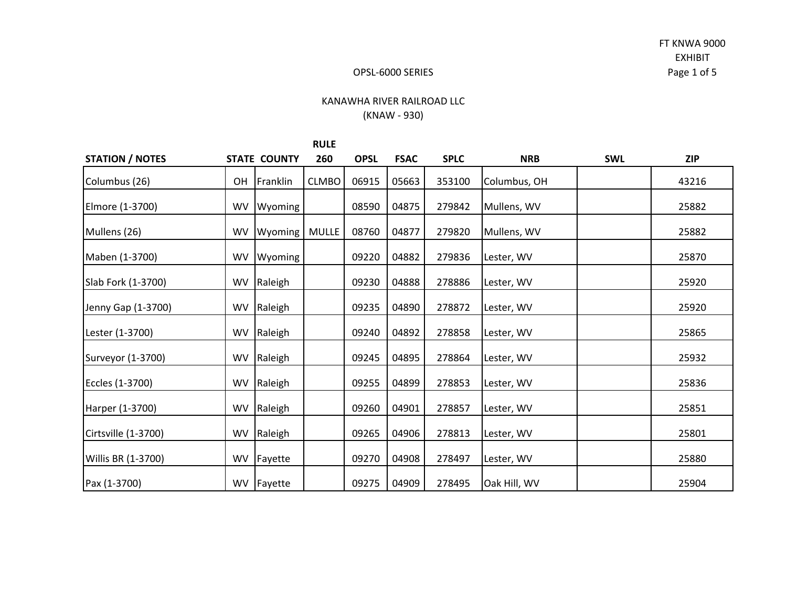FT KNWA 9000 EXHIBIT Page 1 of 5

#### OPSL‐6000 SERIES

## KANAWHA RIVER RAILROAD LLC (KNAW ‐ 930)

|                        |           |                     | <b>RULE</b>  |             |             |             |              |            |            |
|------------------------|-----------|---------------------|--------------|-------------|-------------|-------------|--------------|------------|------------|
| <b>STATION / NOTES</b> |           | <b>STATE COUNTY</b> | 260          | <b>OPSL</b> | <b>FSAC</b> | <b>SPLC</b> | <b>NRB</b>   | <b>SWL</b> | <b>ZIP</b> |
| Columbus (26)          | <b>OH</b> | Franklin            | <b>CLMBO</b> | 06915       | 05663       | 353100      | Columbus, OH |            | 43216      |
| Elmore (1-3700)        | WV        | Wyoming             |              | 08590       | 04875       | 279842      | Mullens, WV  |            | 25882      |
| Mullens (26)           | <b>WV</b> | Wyoming             | MULLE        | 08760       | 04877       | 279820      | Mullens, WV  |            | 25882      |
| Maben (1-3700)         | WV        | Wyoming             |              | 09220       | 04882       | 279836      | Lester, WV   |            | 25870      |
| Slab Fork (1-3700)     | WV        | Raleigh             |              | 09230       | 04888       | 278886      | Lester, WV   |            | 25920      |
| Jenny Gap (1-3700)     | <b>WV</b> | Raleigh             |              | 09235       | 04890       | 278872      | Lester, WV   |            | 25920      |
| Lester (1-3700)        | <b>WV</b> | Raleigh             |              | 09240       | 04892       | 278858      | Lester, WV   |            | 25865      |
| Surveyor (1-3700)      | WV        | Raleigh             |              | 09245       | 04895       | 278864      | Lester, WV   |            | 25932      |
| Eccles (1-3700)        | <b>WV</b> | Raleigh             |              | 09255       | 04899       | 278853      | Lester, WV   |            | 25836      |
| Harper (1-3700)        | WV        | Raleigh             |              | 09260       | 04901       | 278857      | Lester, WV   |            | 25851      |
| Cirtsville (1-3700)    | <b>WV</b> | Raleigh             |              | 09265       | 04906       | 278813      | Lester, WV   |            | 25801      |
| Willis BR (1-3700)     | <b>WV</b> | Fayette             |              | 09270       | 04908       | 278497      | Lester, WV   |            | 25880      |
| Pax (1-3700)           |           | WV Fayette          |              | 09275       | 04909       | 278495      | Oak Hill, WV |            | 25904      |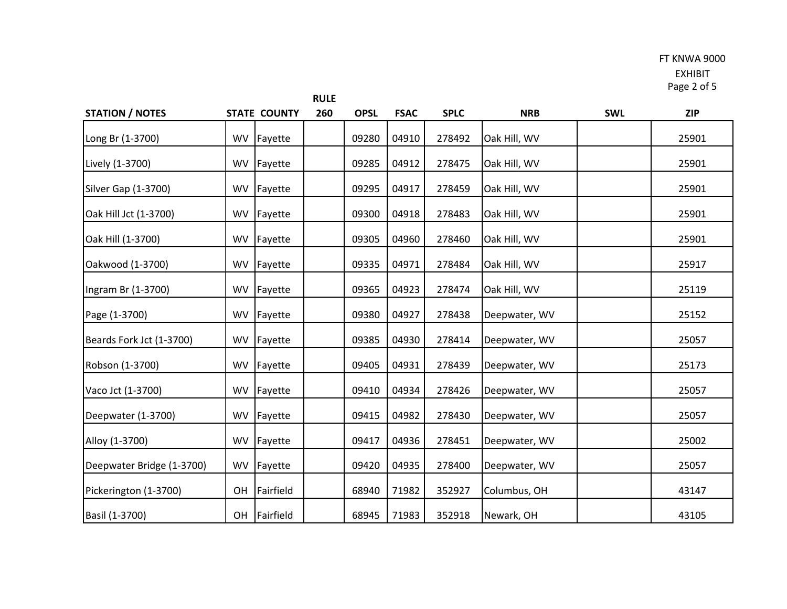#### FT KNWA 9000

EXHIBIT Page 2 of 5

| <b>STATION / NOTES</b>     |           | <b>STATE COUNTY</b> | 260 | <b>OPSL</b> | <b>FSAC</b> | <b>SPLC</b> | <b>NRB</b>    | <b>SWL</b> | <b>ZIP</b> |
|----------------------------|-----------|---------------------|-----|-------------|-------------|-------------|---------------|------------|------------|
| Long Br (1-3700)           | WV        | Fayette             |     | 09280       | 04910       | 278492      | Oak Hill, WV  |            | 25901      |
| Lively (1-3700)            | <b>WV</b> | Fayette             |     | 09285       | 04912       | 278475      | Oak Hill, WV  |            | 25901      |
| <b>Silver Gap (1-3700)</b> | WV        | Fayette             |     | 09295       | 04917       | 278459      | Oak Hill, WV  |            | 25901      |
| Oak Hill Jct (1-3700)      | WV        | Fayette             |     | 09300       | 04918       | 278483      | Oak Hill, WV  |            | 25901      |
| Oak Hill (1-3700)          | WV        | Fayette             |     | 09305       | 04960       | 278460      | Oak Hill, WV  |            | 25901      |
| Oakwood (1-3700)           | WV        | Fayette             |     | 09335       | 04971       | 278484      | Oak Hill, WV  |            | 25917      |
| Ingram Br (1-3700)         | WV        | Fayette             |     | 09365       | 04923       | 278474      | Oak Hill, WV  |            | 25119      |
| Page (1-3700)              | <b>WV</b> | Fayette             |     | 09380       | 04927       | 278438      | Deepwater, WV |            | 25152      |
| Beards Fork Jct (1-3700)   | WV        | Fayette             |     | 09385       | 04930       | 278414      | Deepwater, WV |            | 25057      |
| Robson (1-3700)            | <b>WV</b> | Fayette             |     | 09405       | 04931       | 278439      | Deepwater, WV |            | 25173      |
| Vaco Jct (1-3700)          | <b>WV</b> | Fayette             |     | 09410       | 04934       | 278426      | Deepwater, WV |            | 25057      |
| Deepwater (1-3700)         | <b>WV</b> | Fayette             |     | 09415       | 04982       | 278430      | Deepwater, WV |            | 25057      |
| Alloy (1-3700)             | WV        | Fayette             |     | 09417       | 04936       | 278451      | Deepwater, WV |            | 25002      |
| Deepwater Bridge (1-3700)  | <b>WV</b> | Fayette             |     | 09420       | 04935       | 278400      | Deepwater, WV |            | 25057      |
| Pickerington (1-3700)      | OH        | Fairfield           |     | 68940       | 71982       | 352927      | Columbus, OH  |            | 43147      |
| Basil (1-3700)             | OH        | Fairfield           |     | 68945       | 71983       | 352918      | Newark, OH    |            | 43105      |

**RULE**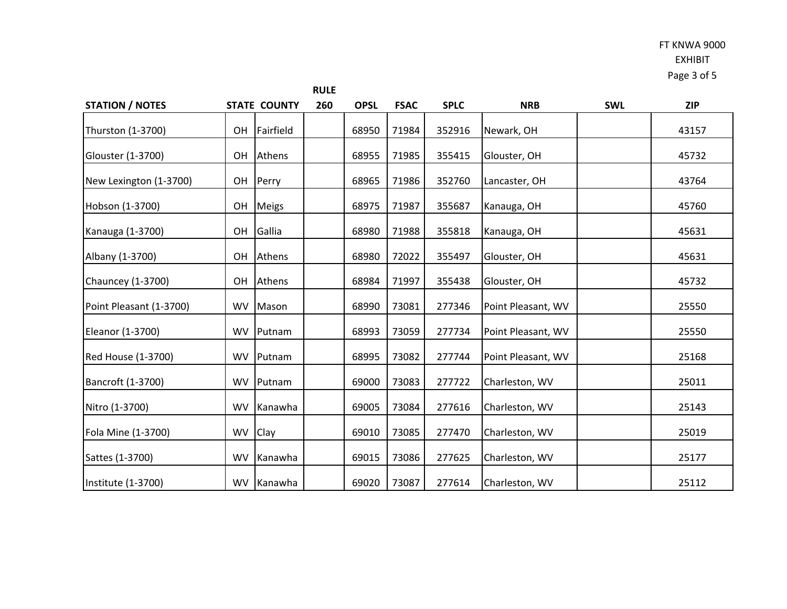## FT KNWA 9000 EXHIBIT Page 3 of 5

|                           |           |                     | <b>RULE</b> |             |             |             |                    |            |            |
|---------------------------|-----------|---------------------|-------------|-------------|-------------|-------------|--------------------|------------|------------|
| <b>STATION / NOTES</b>    |           | <b>STATE COUNTY</b> | 260         | <b>OPSL</b> | <b>FSAC</b> | <b>SPLC</b> | <b>NRB</b>         | <b>SWL</b> | <b>ZIP</b> |
| Thurston (1-3700)         | <b>OH</b> | Fairfield           |             | 68950       | 71984       | 352916      | Newark, OH         |            | 43157      |
| Glouster (1-3700)         | 0H        | Athens              |             | 68955       | 71985       | 355415      | Glouster, OH       |            | 45732      |
| New Lexington (1-3700)    | OH        | Perry               |             | 68965       | 71986       | 352760      | Lancaster, OH      |            | 43764      |
| Hobson (1-3700)           | OH        | <b>Meigs</b>        |             | 68975       | 71987       | 355687      | Kanauga, OH        |            | 45760      |
| Kanauga (1-3700)          | OH        | Gallia              |             | 68980       | 71988       | 355818      | Kanauga, OH        |            | 45631      |
| Albany (1-3700)           | <b>OH</b> | Athens              |             | 68980       | 72022       | 355497      | Glouster, OH       |            | 45631      |
| Chauncey (1-3700)         | <b>OH</b> | Athens              |             | 68984       | 71997       | 355438      | Glouster, OH       |            | 45732      |
| Point Pleasant (1-3700)   | <b>WV</b> | Mason               |             | 68990       | 73081       | 277346      | Point Pleasant, WV |            | 25550      |
| Eleanor (1-3700)          | <b>WV</b> | Putnam              |             | 68993       | 73059       | 277734      | Point Pleasant, WV |            | 25550      |
| Red House (1-3700)        | <b>WV</b> | Putnam              |             | 68995       | 73082       | 277744      | Point Pleasant, WV |            | 25168      |
| Bancroft (1-3700)         | <b>WV</b> | Putnam              |             | 69000       | 73083       | 277722      | Charleston, WV     |            | 25011      |
| Nitro (1-3700)            | <b>WV</b> | Kanawha             |             | 69005       | 73084       | 277616      | Charleston, WV     |            | 25143      |
| Fola Mine (1-3700)        | <b>WV</b> | Clay                |             | 69010       | 73085       | 277470      | Charleston, WV     |            | 25019      |
| Sattes (1-3700)           | <b>WV</b> | Kanawha             |             | 69015       | 73086       | 277625      | Charleston, WV     |            | 25177      |
| <b>Institute (1-3700)</b> |           | WV Kanawha          |             | 69020       | 73087       | 277614      | Charleston, WV     |            | 25112      |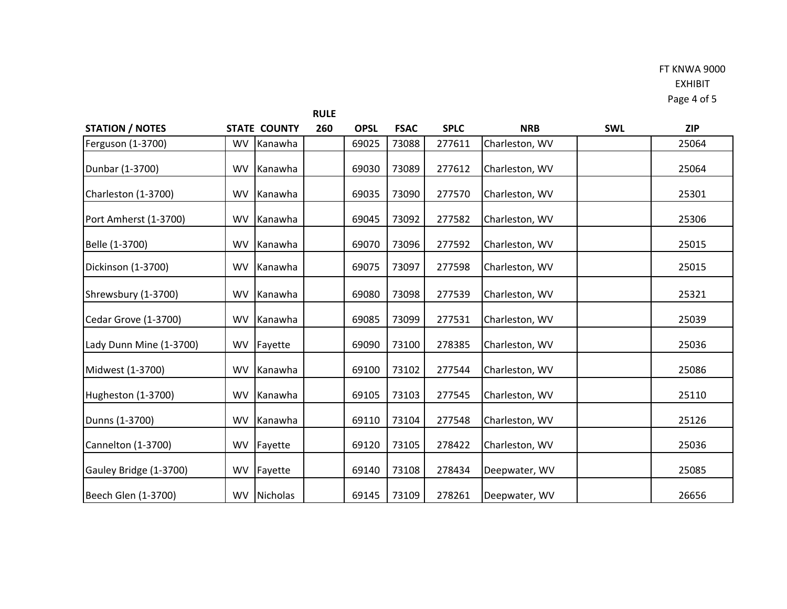|                         |           |                     | <b>RULE</b> |             |             |             |                |            |            |
|-------------------------|-----------|---------------------|-------------|-------------|-------------|-------------|----------------|------------|------------|
| <b>STATION / NOTES</b>  |           | <b>STATE COUNTY</b> | 260         | <b>OPSL</b> | <b>FSAC</b> | <b>SPLC</b> | <b>NRB</b>     | <b>SWL</b> | <b>ZIP</b> |
| Ferguson (1-3700)       | <b>WV</b> | Kanawha             |             | 69025       | 73088       | 277611      | Charleston, WV |            | 25064      |
| Dunbar (1-3700)         | <b>WV</b> | Kanawha             |             | 69030       | 73089       | 277612      | Charleston, WV |            | 25064      |
| Charleston (1-3700)     | <b>WV</b> | Kanawha             |             | 69035       | 73090       | 277570      | Charleston, WV |            | 25301      |
| Port Amherst (1-3700)   | <b>WV</b> | Kanawha             |             | 69045       | 73092       | 277582      | Charleston, WV |            | 25306      |
| Belle (1-3700)          | <b>WV</b> | Kanawha             |             | 69070       | 73096       | 277592      | Charleston, WV |            | 25015      |
| Dickinson (1-3700)      | <b>WV</b> | Kanawha             |             | 69075       | 73097       | 277598      | Charleston, WV |            | 25015      |
| Shrewsbury (1-3700)     | <b>WV</b> | Kanawha             |             | 69080       | 73098       | 277539      | Charleston, WV |            | 25321      |
| Cedar Grove (1-3700)    | <b>WV</b> | Kanawha             |             | 69085       | 73099       | 277531      | Charleston, WV |            | 25039      |
| Lady Dunn Mine (1-3700) | <b>WV</b> | Fayette             |             | 69090       | 73100       | 278385      | Charleston, WV |            | 25036      |
| Midwest (1-3700)        | <b>WV</b> | Kanawha             |             | 69100       | 73102       | 277544      | Charleston, WV |            | 25086      |
| Hugheston (1-3700)      | <b>WV</b> | Kanawha             |             | 69105       | 73103       | 277545      | Charleston, WV |            | 25110      |
| Dunns (1-3700)          | <b>WV</b> | Kanawha             |             | 69110       | 73104       | 277548      | Charleston, WV |            | 25126      |
| Cannelton (1-3700)      | <b>WV</b> | Fayette             |             | 69120       | 73105       | 278422      | Charleston, WV |            | 25036      |
| Gauley Bridge (1-3700)  | <b>WV</b> | Fayette             |             | 69140       | 73108       | 278434      | Deepwater, WV  |            | 25085      |
| Beech Glen (1-3700)     | <b>WV</b> | Nicholas            |             | 69145       | 73109       | 278261      | Deepwater, WV  |            | 26656      |